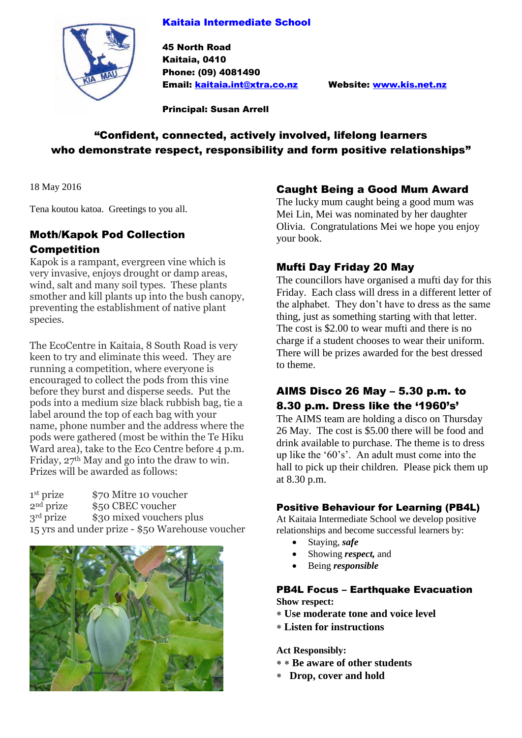#### Kaitaia Intermediate School



45 North Road Kaitaia, 0410 Phone: (09) 4081490 Email: [kaitaia.int@xtra.co.nz](mailto:kaitaia.int@xtra.co.nz) Website: [www.kis.net.nz](http://www.kis.net.nz/)

Principal: Susan Arrell

# "Confident, connected, actively involved, lifelong learners who demonstrate respect, responsibility and form positive relationships"

18 May 2016

Tena koutou katoa. Greetings to you all.

# Moth/Kapok Pod Collection Competition

Kapok is a rampant, evergreen vine which is very invasive, enjoys drought or damp areas, wind, salt and many soil types. These plants smother and kill plants up into the bush canopy, preventing the establishment of native plant species.

The EcoCentre in Kaitaia, 8 South Road is very keen to try and eliminate this weed. They are running a competition, where everyone is encouraged to collect the pods from this vine before they burst and disperse seeds. Put the pods into a medium size black rubbish bag, tie a label around the top of each bag with your name, phone number and the address where the pods were gathered (most be within the Te Hiku Ward area), take to the Eco Centre before 4 p.m. Friday, 27th May and go into the draw to win. Prizes will be awarded as follows:

<sup>1st</sup> prize<br><sup>2nd</sup> prize \$70 Mitre 10 voucher \$50 CBEC voucher 3<sup>rd</sup> prize \$30 mixed vouchers plus 15 yrs and under prize - \$50 Warehouse voucher



### Caught Being a Good Mum Award

The lucky mum caught being a good mum was Mei Lin, Mei was nominated by her daughter Olivia. Congratulations Mei we hope you enjoy your book.

## Mufti Day Friday 20 May

The councillors have organised a mufti day for this Friday. Each class will dress in a different letter of the alphabet. They don't have to dress as the same thing, just as something starting with that letter. The cost is \$2.00 to wear mufti and there is no charge if a student chooses to wear their uniform. There will be prizes awarded for the best dressed to theme.

## AIMS Disco 26 May – 5.30 p.m. to 8.30 p.m. Dress like the '1960's'

The AIMS team are holding a disco on Thursday 26 May. The cost is \$5.00 there will be food and drink available to purchase. The theme is to dress up like the '60's'. An adult must come into the hall to pick up their children. Please pick them up at 8.30 p.m.

#### Positive Behaviour for Learning (PB4L)

At Kaitaia Intermediate School we develop positive relationships and become successful learners by:

- Staying, *safe*
- Showing *respect,* and
- Being *responsible*

#### PB4L Focus – Earthquake Evacuation

**Show respect:**

- **Use moderate tone and voice level**
- **Listen for instructions**

**Act Responsibly:**

- **Be aware of other students**
- **Drop, cover and hold**